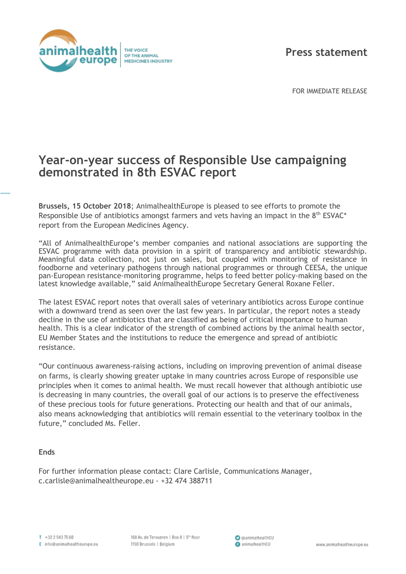

**Press statement**

FOR IMMEDIATE RELEASE

## **Year-on-year success of Responsible Use campaigning demonstrated in 8th ESVAC report**

**Brussels, 15 October 2018**; AnimalhealthEurope is pleased to see efforts to promote the Responsible Use of antibiotics amongst farmers and vets having an impact in the 8<sup>th</sup> ESVAC<sup>\*</sup> report from the European Medicines Agency.

"All of AnimalhealthEurope's member companies and national associations are supporting the ESVAC programme with data provision in a spirit of transparency and antibiotic stewardship. Meaningful data collection, not just on sales, but coupled with monitoring of resistance in foodborne and veterinary pathogens through national programmes or through CEESA, the unique pan-European resistance-monitoring programme, helps to feed better policy-making based on the latest knowledge available," said AnimalhealthEurope Secretary General Roxane Feller.

The latest ESVAC report notes that overall sales of veterinary antibiotics across Europe continue with a downward trend as seen over the last few years. In particular, the report notes a steady decline in the use of antibiotics that are classified as being of critical importance to human health. This is a clear indicator of the strength of combined actions by the animal health sector, EU Member States and the institutions to reduce the emergence and spread of antibiotic resistance.

"Our continuous awareness-raising actions, including on improving prevention of animal disease on farms, is clearly showing greater uptake in many countries across Europe of responsible use principles when it comes to animal health. We must recall however that although antibiotic use is decreasing in many countries, the overall goal of our actions is to preserve the effectiveness of these precious tools for future generations. Protecting our health and that of our animals, also means acknowledging that antibiotics will remain essential to the veterinary toolbox in the future," concluded Ms. Feller.

## **Ends**

For further information please contact: Clare Carlisle, Communications Manager, c.carlisle@animalhealtheurope.eu - +32 474 388711